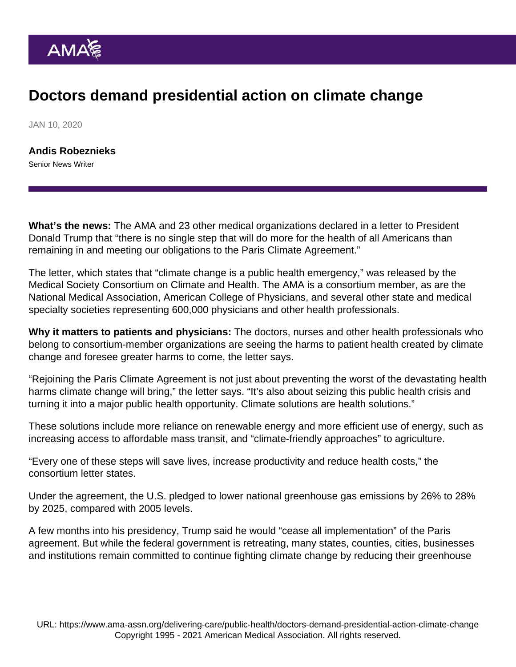## Doctors demand presidential action on climate change

JAN 10, 2020

[Andis Robeznieks](https://www.ama-assn.org/news-leadership-viewpoints/authors-news-leadership-viewpoints/andis-robeznieks) Senior News Writer

What's the news: The AMA and 23 other medical organizations declared in a letter to President Donald Trump that "there is no single step that will do more for the health of all Americans than remaining in and meeting our obligations to the Paris Climate Agreement."

[The letter,](https://medsocietiesforclimatehealth.org/statements/open-letter-president-trump/) which states that "climate change is a public health emergency," was released by the Medical Society Consortium on Climate and Health. The AMA is a consortium member, as are the National Medical Association, American College of Physicians, and several other state and medical specialty societies representing 600,000 physicians and other health professionals.

Why it matters to patients and physicians: The doctors, nurses and other health professionals who belong to consortium-member organizations are seeing the harms to patient health created by climate change and foresee greater harms to come, the letter says.

"Rejoining the Paris Climate Agreement is not just about preventing the worst of the devastating health harms climate change will bring," the letter says. "It's also about seizing this public health crisis and turning it into a major public health opportunity. Climate solutions are health solutions."

These solutions include more reliance on renewable energy and more efficient use of energy, such as increasing access to affordable mass transit, and "climate-friendly approaches" to agriculture.

"Every one of these steps will save lives, increase productivity and reduce health costs," the consortium letter states.

Under the agreement, the U.S. pledged to lower national greenhouse gas emissions by 26% to 28% by 2025, compared with 2005 levels.

A few months into his presidency, Trump said he would "cease all implementation" of the Paris agreement. But while the federal government is retreating, many states, counties, cities, businesses and institutions remain committed to continue fighting climate change by reducing their greenhouse